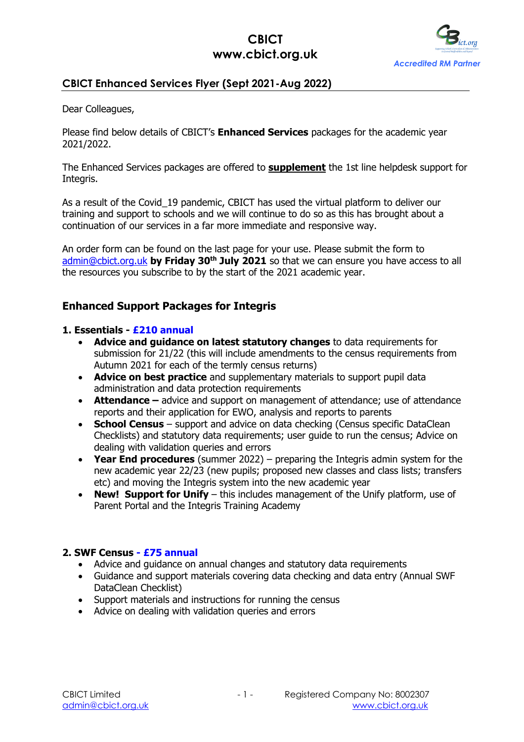

# **CBICT Enhanced Services Flyer (Sept 2021-Aug 2022)**

Dear Colleagues,

Please find below details of CBICT's **Enhanced Services** packages for the academic year 2021/2022.

The Enhanced Services packages are offered to **supplement** the 1st line helpdesk support for Integris.

As a result of the Covid 19 pandemic, CBICT has used the virtual platform to deliver our training and support to schools and we will continue to do so as this has brought about a continuation of our services in a far more immediate and responsive way.

An order form can be found on the last page for your use. Please submit the form to admin@cbict.org.uk **by Friday 30th July 2021** so that we can ensure you have access to all the resources you subscribe to by the start of the 2021 academic year.

### **Enhanced Support Packages for Integris**

#### **1. Essentials - £210 annual**

- **Advice and guidance on latest statutory changes** to data requirements for submission for 21/22 (this will include amendments to the census requirements from Autumn 2021 for each of the termly census returns)
- **Advice on best practice** and supplementary materials to support pupil data administration and data protection requirements
- **Attendance** advice and support on management of attendance; use of attendance reports and their application for EWO, analysis and reports to parents
- **School Census** support and advice on data checking (Census specific DataClean Checklists) and statutory data requirements; user guide to run the census; Advice on dealing with validation queries and errors
- **Year End procedures** (summer 2022) preparing the Integris admin system for the new academic year 22/23 (new pupils; proposed new classes and class lists; transfers etc) and moving the Integris system into the new academic year
- **New! Support for Unify**  this includes management of the Unify platform, use of Parent Portal and the Integris Training Academy

### **2. SWF Census - £75 annual**

- Advice and quidance on annual changes and statutory data requirements
- Guidance and support materials covering data checking and data entry (Annual SWF DataClean Checklist)
- Support materials and instructions for running the census
- Advice on dealing with validation queries and errors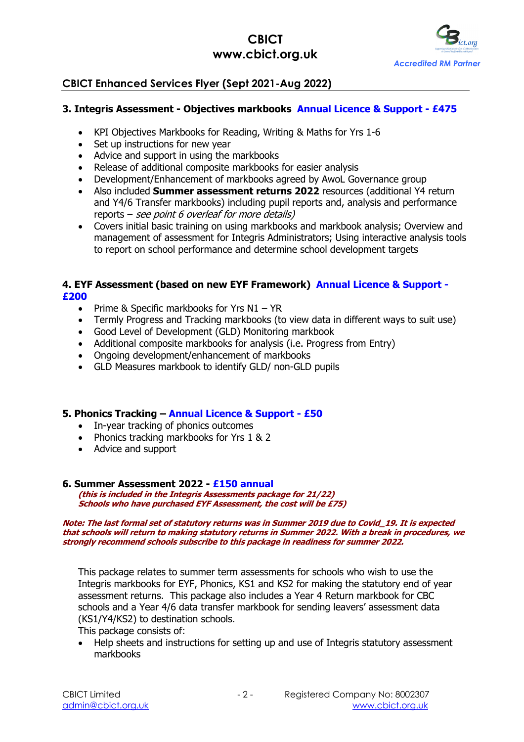

# **CBICT Enhanced Services Flyer (Sept 2021-Aug 2022)**

### **3. Integris Assessment - Objectives markbooks Annual Licence & Support - £475**

- KPI Objectives Markbooks for Reading, Writing & Maths for Yrs 1-6
- Set up instructions for new year
- Advice and support in using the markbooks
- Release of additional composite markbooks for easier analysis
- Development/Enhancement of markbooks agreed by AwoL Governance group
- Also included **Summer assessment returns 2022** resources (additional Y4 return and Y4/6 Transfer markbooks) including pupil reports and, analysis and performance reports – see point 6 overleaf for more details)
- Covers initial basic training on using markbooks and markbook analysis; Overview and management of assessment for Integris Administrators; Using interactive analysis tools to report on school performance and determine school development targets

#### **4. EYF Assessment (based on new EYF Framework) Annual Licence & Support - £200**

- Prime & Specific markbooks for Yrs N1 YR
- Termly Progress and Tracking markbooks (to view data in different ways to suit use)
- Good Level of Development (GLD) Monitoring markbook
- Additional composite markbooks for analysis (i.e. Progress from Entry)
- Ongoing development/enhancement of markbooks
- GLD Measures markbook to identify GLD/ non-GLD pupils

### **5. Phonics Tracking – Annual Licence & Support - £50**

- In-year tracking of phonics outcomes
- Phonics tracking markbooks for Yrs 1 & 2
- Advice and support

#### **6. Summer Assessment 2022 - £150 annual**

**(this is included in the Integris Assessments package for 21/22) Schools who have purchased EYF Assessment, the cost will be £75)**

#### **Note: The last formal set of statutory returns was in Summer 2019 due to Covid\_19. It is expected that schools will return to making statutory returns in Summer 2022. With a break in procedures, we strongly recommend schools subscribe to this package in readiness for summer 2022.**

This package relates to summer term assessments for schools who wish to use the Integris markbooks for EYF, Phonics, KS1 and KS2 for making the statutory end of year assessment returns. This package also includes a Year 4 Return markbook for CBC schools and a Year 4/6 data transfer markbook for sending leavers' assessment data (KS1/Y4/KS2) to destination schools.

This package consists of:

• Help sheets and instructions for setting up and use of Integris statutory assessment markbooks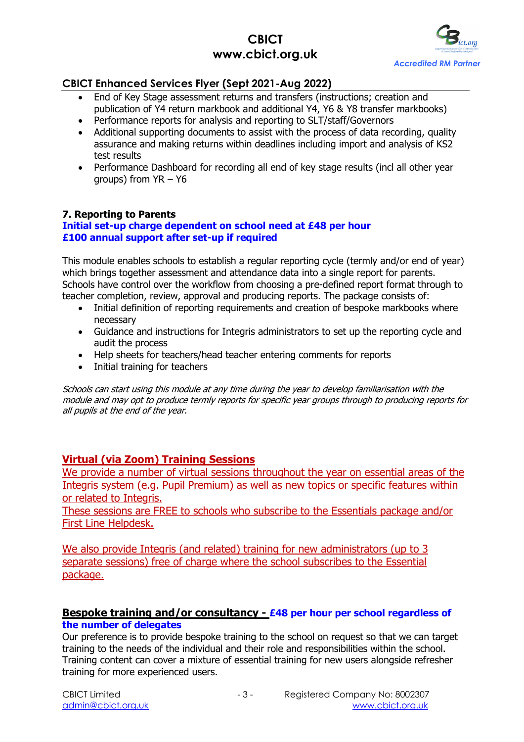

## **CBICT Enhanced Services Flyer (Sept 2021-Aug 2022)**

- End of Key Stage assessment returns and transfers (instructions; creation and publication of Y4 return markbook and additional Y4, Y6 & Y8 transfer markbooks)
- Performance reports for analysis and reporting to SLT/staff/Governors
- Additional supporting documents to assist with the process of data recording, quality assurance and making returns within deadlines including import and analysis of KS2 test results
- Performance Dashboard for recording all end of key stage results (incl all other year groups) from YR – Y6

### **7. Reporting to Parents**

### **Initial set-up charge dependent on school need at £48 per hour £100 annual support after set-up if required**

This module enables schools to establish a regular reporting cycle (termly and/or end of year) which brings together assessment and attendance data into a single report for parents. Schools have control over the workflow from choosing a pre-defined report format through to teacher completion, review, approval and producing reports. The package consists of:

- Initial definition of reporting requirements and creation of bespoke markbooks where necessary
- Guidance and instructions for Integris administrators to set up the reporting cycle and audit the process
- Help sheets for teachers/head teacher entering comments for reports
- Initial training for teachers

Schools can start using this module at any time during the year to develop familiarisation with the module and may opt to produce termly reports for specific year groups through to producing reports for all pupils at the end of the year.

### **Virtual (via Zoom) Training Sessions**

We provide a number of virtual sessions throughout the year on essential areas of the Integris system (e.g. Pupil Premium) as well as new topics or specific features within or related to Integris.

These sessions are FREE to schools who subscribe to the Essentials package and/or First Line Helpdesk.

We also provide Integris (and related) training for new administrators (up to 3 separate sessions) free of charge where the school subscribes to the Essential package.

### **Bespoke training and/or consultancy - £48 per hour per school regardless of the number of delegates**

Our preference is to provide bespoke training to the school on request so that we can target training to the needs of the individual and their role and responsibilities within the school. Training content can cover a mixture of essential training for new users alongside refresher training for more experienced users.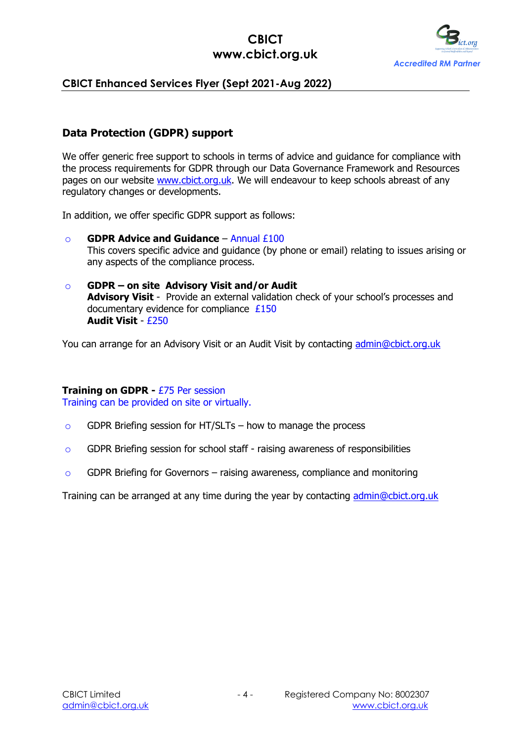

## **CBICT Enhanced Services Flyer (Sept 2021-Aug 2022)**

# **Data Protection (GDPR) support**

We offer generic free support to schools in terms of advice and guidance for compliance with the process requirements for GDPR through our Data Governance Framework and Resources pages on our website www.cbict.org.uk. We will endeavour to keep schools abreast of any regulatory changes or developments.

In addition, we offer specific GDPR support as follows:

- o **GDPR Advice and Guidance** Annual £100 This covers specific advice and guidance (by phone or email) relating to issues arising or any aspects of the compliance process.
- o **GDPR – on site Advisory Visit and/or Audit Advisory Visit** - Provide an external validation check of your school's processes and documentary evidence for compliance £150 **Audit Visit** - £250

You can arrange for an Advisory Visit or an Audit Visit by contacting admin@cbict.org.uk

#### **Training on GDPR -** £75 Per session

Training can be provided on site or virtually.

- $\circ$  GDPR Briefing session for HT/SLTs how to manage the process
- o GDPR Briefing session for school staff raising awareness of responsibilities
- $\circ$  GDPR Briefing for Governors raising awareness, compliance and monitoring

Training can be arranged at any time during the year by contacting admin@cbict.org.uk